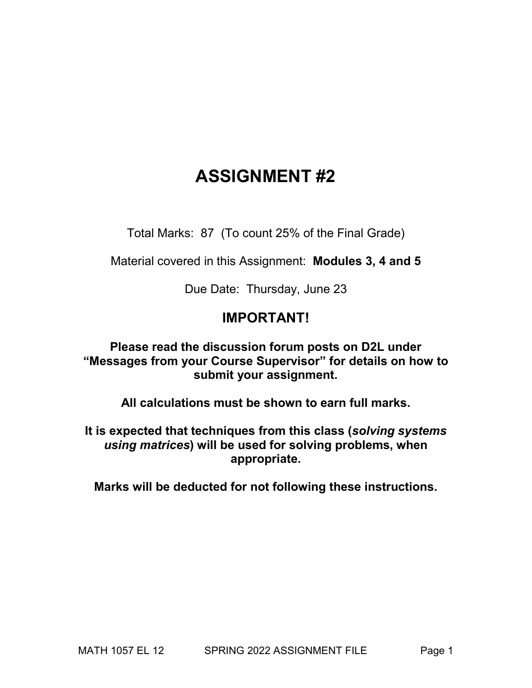# **ASSIGNMENT #2**

Total Marks: 87 (To count 25% of the Final Grade)

Material covered in this Assignment: **Modules 3, 4 and 5**

Due Date: Thursday, June 23

## **IMPORTANT!**

**Please read the discussion forum posts on D2L under "Messages from your Course Supervisor" for details on how to submit your assignment.** 

**All calculations must be shown to earn full marks.**

**It is expected that techniques from this class (***solving systems using matrices***) will be used for solving problems, when appropriate.**

**Marks will be deducted for not following these instructions.**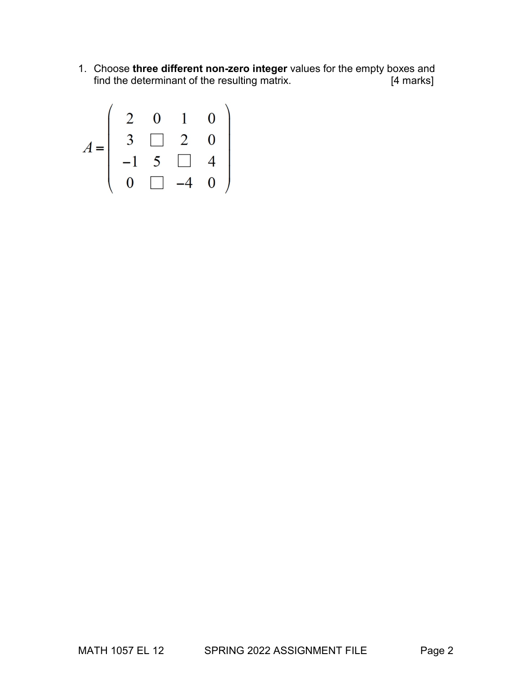1. Choose **three different non-zero integer** values for the empty boxes and find the determinant of the resulting matrix.

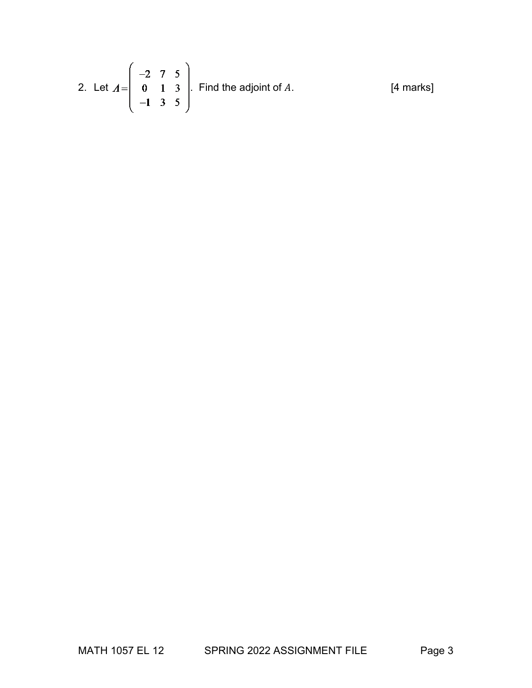2. Let 
$$
A = \begin{pmatrix} -2 & 7 & 5 \ 0 & 1 & 3 \ -1 & 3 & 5 \end{pmatrix}
$$
. Find the adjoint of A. [4 marks]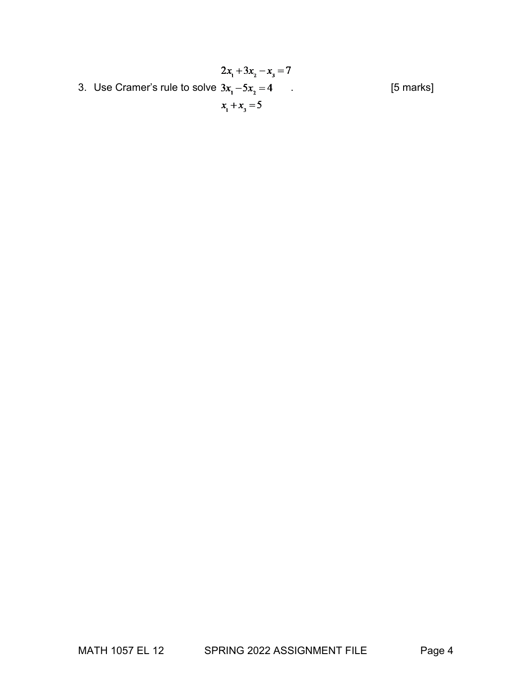$2x_1 + 3x_2 - x_3 = 7$ 3. Use Cramer's rule to solve  $3x_1 - 5x_2 = 4$  . [5 marks]  $x_1 + x_3 = 5$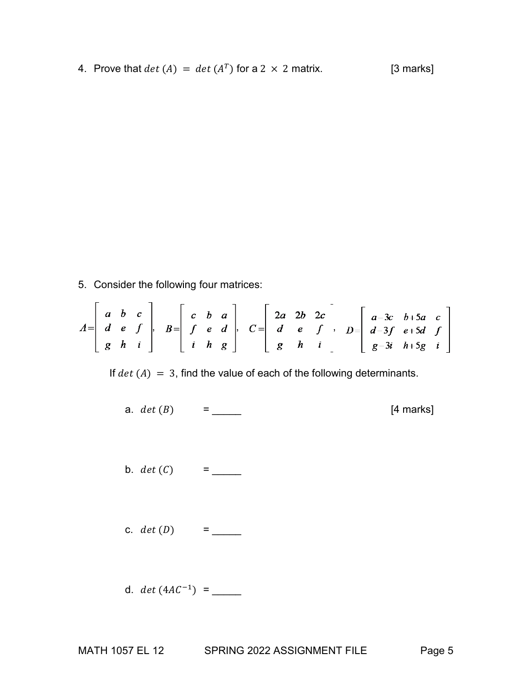4. Prove that  $det(A) = det(A^T)$  for a 2 × 2 matrix. [3 marks]

5. Consider the following four matrices:

$$
A = \begin{bmatrix} a & b & c \\ d & e & f \\ g & h & i \end{bmatrix}, B = \begin{bmatrix} c & b & a \\ f & e & d \\ i & h & g \end{bmatrix}, C = \begin{bmatrix} 2a & 2b & 2c \\ d & e & f \\ g & h & i \end{bmatrix}, D = \begin{bmatrix} a-3c & b+5a & c \\ d-3f & e+5d & f \\ g-3i & h+5g & i \end{bmatrix}
$$

If  $det(A) = 3$ , find the value of each of the following determinants.

a.  $det(B) =$  [4 marks] b. () = \_\_\_\_\_ c. () = \_\_\_\_\_ d. (4−1) = \_\_\_\_\_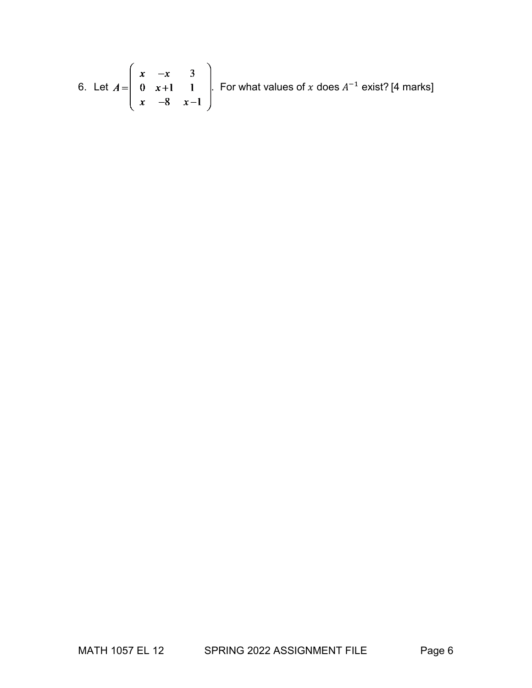6. Let 
$$
A = \begin{pmatrix} x & -x & 3 \\ 0 & x+1 & 1 \\ x & -8 & x-1 \end{pmatrix}
$$
. For what values of x does  $A^{-1}$  exist? [4 marks]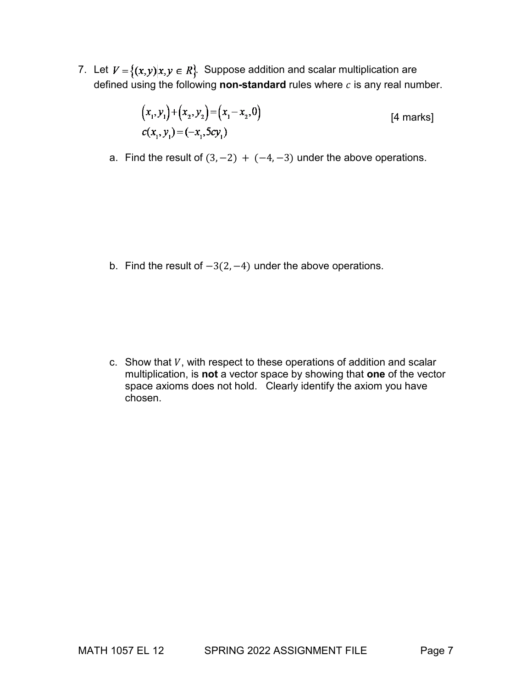7. Let  $V = \{(x,y)|x,y \in R\}$ . Suppose addition and scalar multiplication are defined using the following **non-standard** rules where  $c$  is any real number.

$$
(x_1, y_1) + (x_2, y_2) = (x_1 - x_2, 0)
$$
  
\n
$$
c(x_1, y_1) = (-x_1, 5cy_1)
$$
 [4 marks]

a. Find the result of  $(3, -2) + (-4, -3)$  under the above operations.

b. Find the result of −3(2, −4) under the above operations.

c. Show that  $V$ , with respect to these operations of addition and scalar multiplication, is **not** a vector space by showing that **one** of the vector space axioms does not hold. Clearly identify the axiom you have chosen.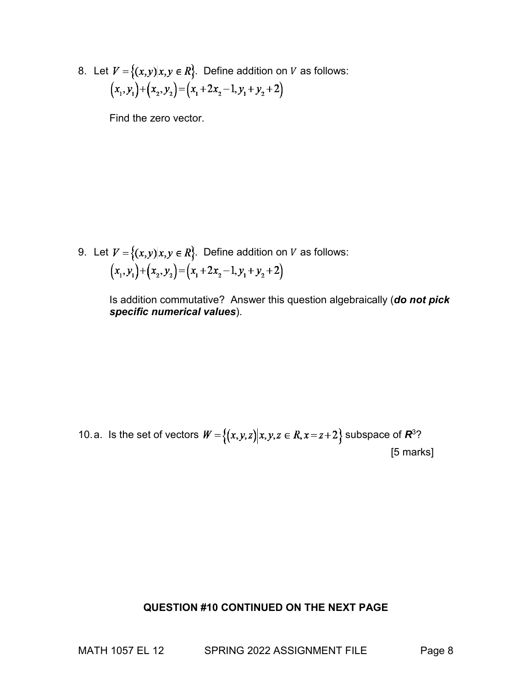8. Let  $V = \{(x,y)|x,y \in R\}$ . Define addition on V as follows:  $(x_1, y_1) + (x_2, y_2) = (x_1 + 2x_2 - 1, y_1 + y_2 + 2)$ 

Find the zero vector.

9. Let  $V = \{(x,y)|x,y \in R\}$ . Define addition on *V* as follows:  $(x_1, y_1) + (x_2, y_2) = (x_1 + 2x_2 - 1, y_1 + y_2 + 2)$ 

> Is addition commutative? Answer this question algebraically (*do not pick specific numerical values*).

10.a. Is the set of vectors  $W = \{(x,y,z) | x,y,z \in R, x = z + 2\}$  subspace of  $R^3$ ? [5 marks]

#### **QUESTION #10 CONTINUED ON THE NEXT PAGE**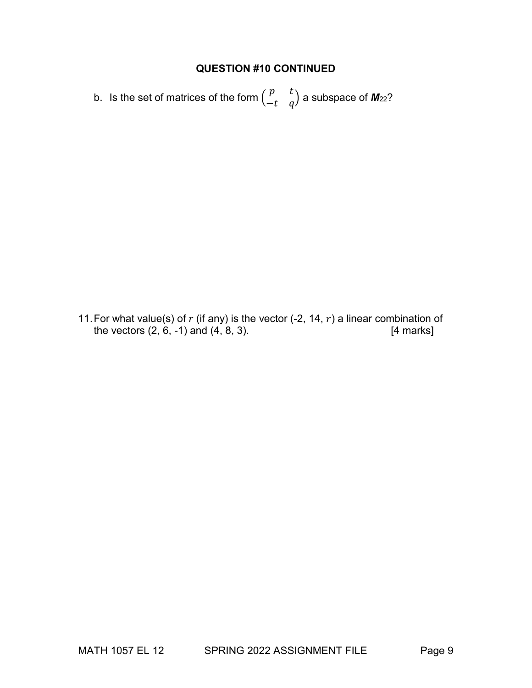## **QUESTION #10 CONTINUED**

b. Is the set of matrices of the form  $\begin{pmatrix} p & t \ -t & q \end{pmatrix}$  a subspace of **M**<sub>22</sub>?

11. For what value(s) of  $r$  (if any) is the vector (-2, 14,  $r$ ) a linear combination of the vectors (2, 6, -1) and (4, 8, 3). the vectors  $(2, 6, -1)$  and  $(4, 8, 3)$ .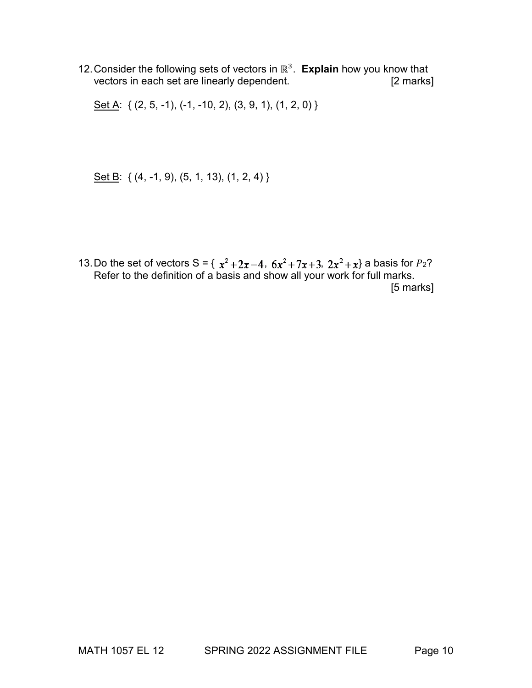12.Consider the following sets of vectors in ℝ3. **Explain** how you know that vectors in each set are linearly dependent.

Set A: { (2, 5, -1), (-1, -10, 2), (3, 9, 1), (1, 2, 0) }

Set B: { (4, -1, 9), (5, 1, 13), (1, 2, 4) }

13. Do the set of vectors  $S = \{ x^2 + 2x - 4, 6x^2 + 7x + 3, 2x^2 + x \}$  a basis for  $P_2$ ? Refer to the definition of a basis and show all your work for full marks. [5 marks]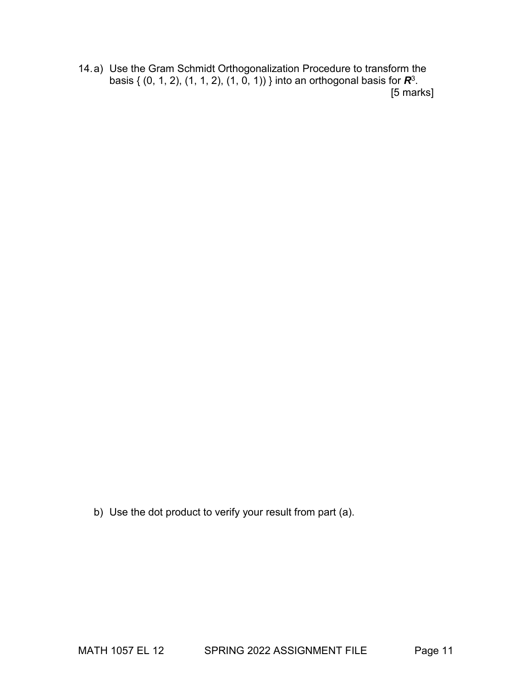14.a) Use the Gram Schmidt Orthogonalization Procedure to transform the basis { (0, 1, 2), (1, 1, 2), (1, 0, 1)) } into an orthogonal basis for *R*3. [5 marks]

b) Use the dot product to verify your result from part (a).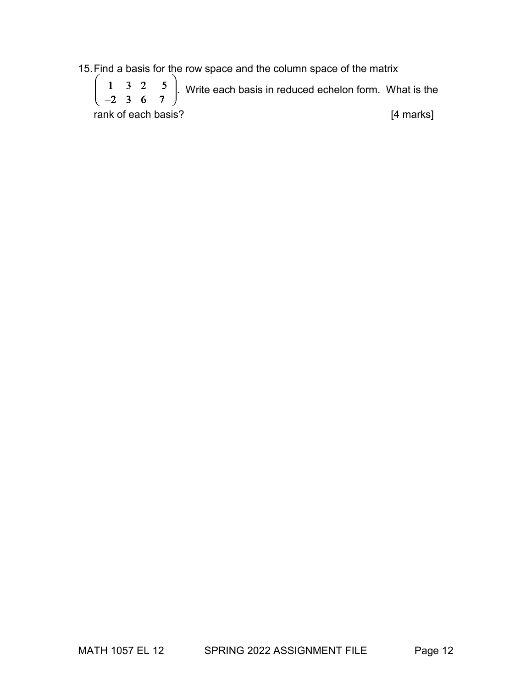15.Find a basis for the row space and the column space of the matrix

 $\begin{pmatrix} 1 & 3 & 2 & -5 \\ -2 & 3 & 6 & 7 \end{pmatrix}$ . Write each basis in reduced echelon form. What is the rank of each basis? [4 marks]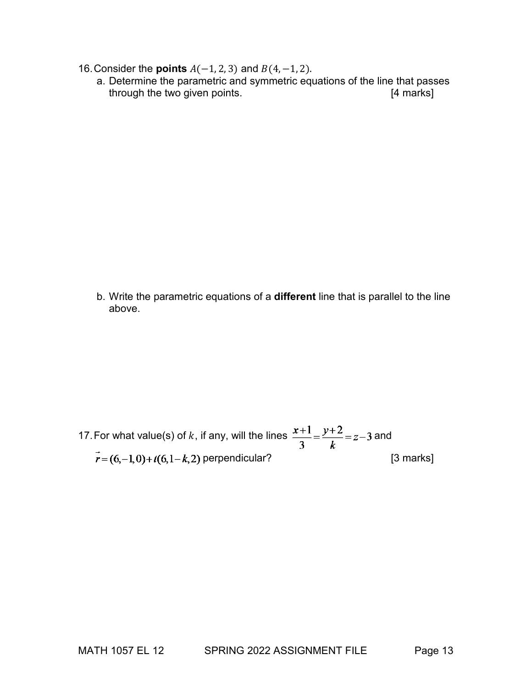- 16. Consider the **points**  $A(-1, 2, 3)$  and  $B(4, -1, 2)$ .
	- a. Determine the parametric and symmetric equations of the line that passes through the two given points. The same state of the state of the state of the state of the state of the state of the state of the state of the state of the state of the state of the state of the state of the state of the s

b. Write the parametric equations of a **different** line that is parallel to the line above.

17. For what value(s) of k, if any, will the lines  $\frac{x+1}{3} = \frac{y+2}{k} = z-3$  and  $\vec{r} = (6, -1, 0) + t(6, 1 - k, 2)$  perpendicular? [3 marks]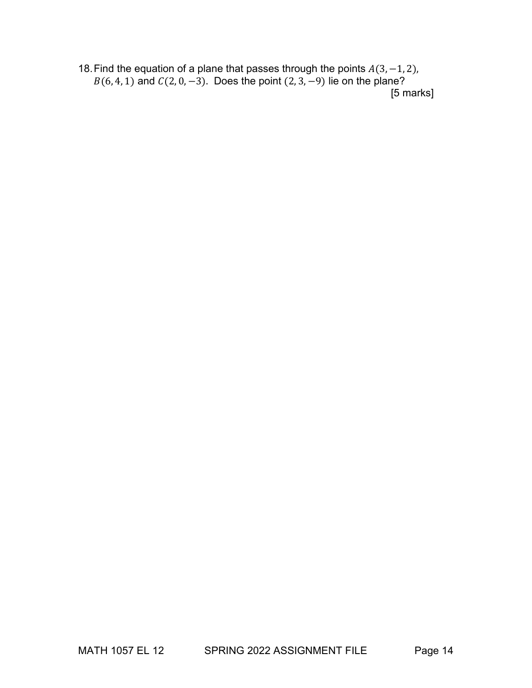18. Find the equation of a plane that passes through the points  $A(3, -1, 2)$ ,  $B(6, 4, 1)$  and  $C(2, 0, -3)$ . Does the point  $(2, 3, -9)$  lie on the plane? [5 marks]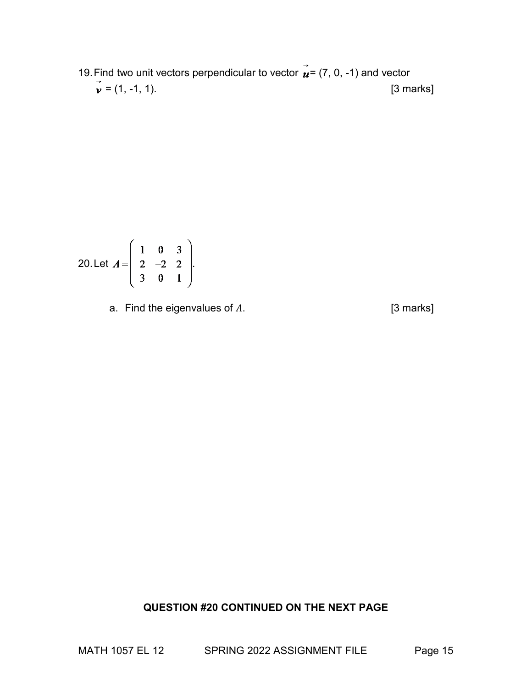19. Find two unit vectors perpendicular to vector  $\vec{u}$  = (7, 0, -1) and vector  $\vec{v} = (1, -1, 1).$  [3 marks]

20. Let 
$$
A = \begin{pmatrix} 1 & 0 & 3 \\ 2 & -2 & 2 \\ 3 & 0 & 1 \end{pmatrix}
$$
.

a. Find the eigenvalues of  $A$ .  $[3 \text{ marks}]$ 

#### **QUESTION #20 CONTINUED ON THE NEXT PAGE**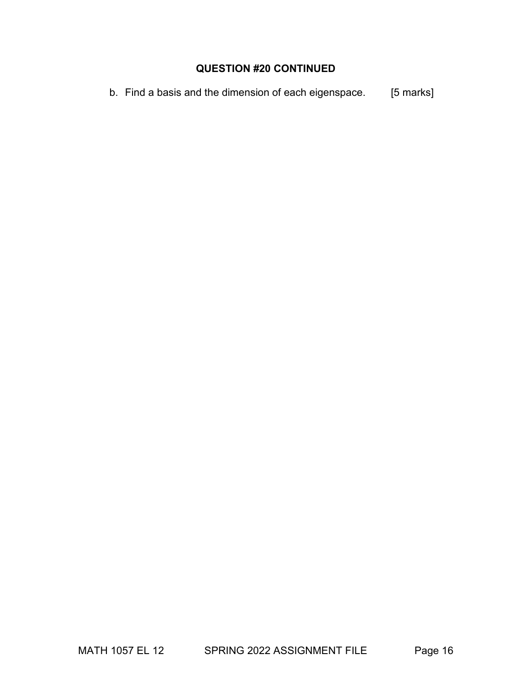### **QUESTION #20 CONTINUED**

b. Find a basis and the dimension of each eigenspace. [5 marks]